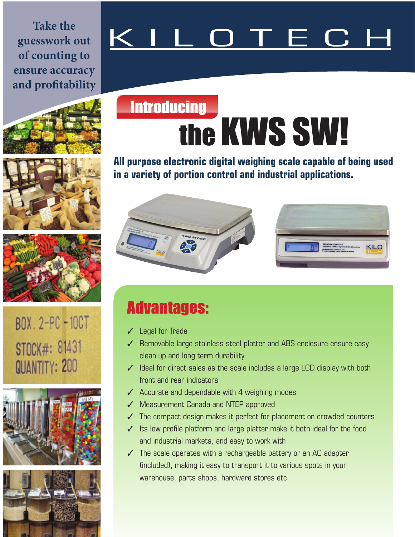**Take the guesswork out of counting to ensure accuracy and profitability**

# \_ O T E C I













## **Introducing** the KWS SW!

**All purpose electronic digital weighing scale capable of being used in a variety of portion control and industrial applications.**



### Advantages:

- ✓ Legal for Trade
- ✓ Removable large stainless steel platter and ABS enclosure ensure easy clean up and long term durability
- ✓ Ideal for direct sales as the scale includes a large LCD display with both front and rear indicators
- $\angle$  Accurate and dependable with 4 weighing modes
- ✓ Measurement Canada and NTEP approved
- $\checkmark$  The compact design makes it perfect for placement on crowded counters
- ✓ Its low profile platform and large platter make it both ideal for the food and industrial markets, and easy to work with
- $\checkmark$  The scale operates with a rechargeable battery or an AC adapter (included), making it easy to transport it to various spots in your warehouse, parts shops, hardware stores etc.